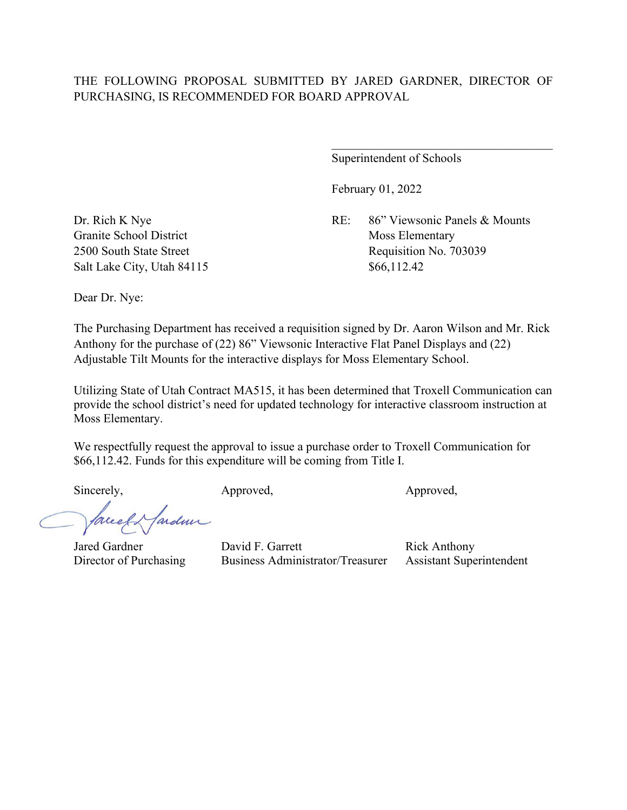## THE FOLLOWING PROPOSAL SUBMITTED BY JARED GARDNER, DIRECTOR OF PURCHASING, IS RECOMMENDED FOR BOARD APPROVAL

Superintendent of Schools

February 01, 2022

Dr. Rich K Nye RE: 86" Viewsonic Panels & Mounts 2500 South State Street Requisition No. 703039

Granite School District Moss Elementary Salt Lake City, Utah 84115 \$66,112.42

Dear Dr. Nye:

The Purchasing Department has received a requisition signed by Dr. Aaron Wilson and Mr. Rick Anthony for the purchase of (22) 86" Viewsonic Interactive Flat Panel Displays and (22) Adjustable Tilt Mounts for the interactive displays for Moss Elementary School.

Utilizing State of Utah Contract MA515, it has been determined that Troxell Communication can provide the school district's need for updated technology for interactive classroom instruction at Moss Elementary.

We respectfully request the approval to issue a purchase order to Troxell Communication for \$66,112.42. Funds for this expenditure will be coming from Title I.

Sincerely, Approved, Approved, Approved, Approved,

ardmi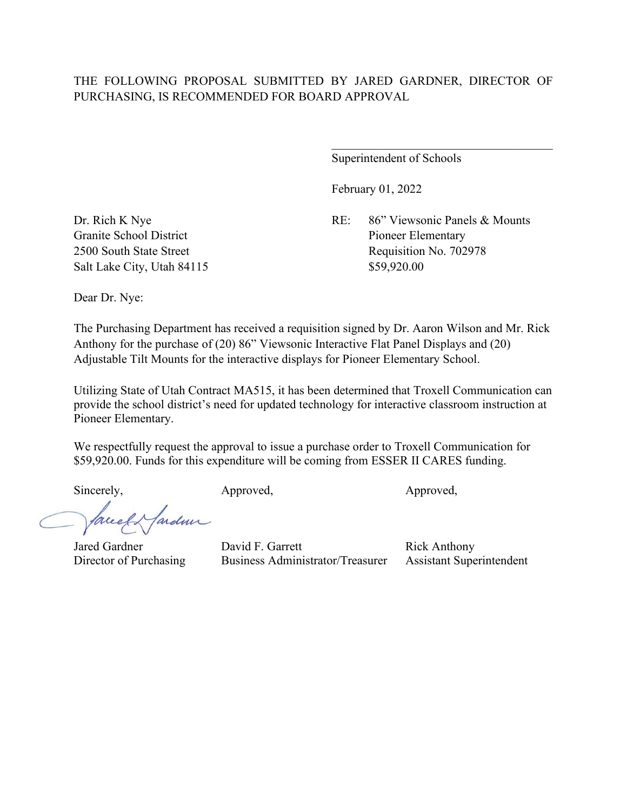## THE FOLLOWING PROPOSAL SUBMITTED BY JARED GARDNER, DIRECTOR OF PURCHASING, IS RECOMMENDED FOR BOARD APPROVAL

Superintendent of Schools

February 01, 2022

Dr. Rich K Nye RE: 86" Viewsonic Panels & Mounts Granite School District Pioneer Elementary 2500 South State Street Requisition No. 702978

Salt Lake City, Utah 84115 \$59,920.00

Dear Dr. Nye:

The Purchasing Department has received a requisition signed by Dr. Aaron Wilson and Mr. Rick Anthony for the purchase of (20) 86" Viewsonic Interactive Flat Panel Displays and (20) Adjustable Tilt Mounts for the interactive displays for Pioneer Elementary School.

Utilizing State of Utah Contract MA515, it has been determined that Troxell Communication can provide the school district's need for updated technology for interactive classroom instruction at Pioneer Elementary.

We respectfully request the approval to issue a purchase order to Troxell Communication for \$59,920.00. Funds for this expenditure will be coming from ESSER II CARES funding.

Sincerely, Approved, Approved, Approved,

ardmi

Director of Purchasing Business Administrator/Treasurer Assistant Superintendent

Jared Gardner **David F. Garrett** Rick Anthony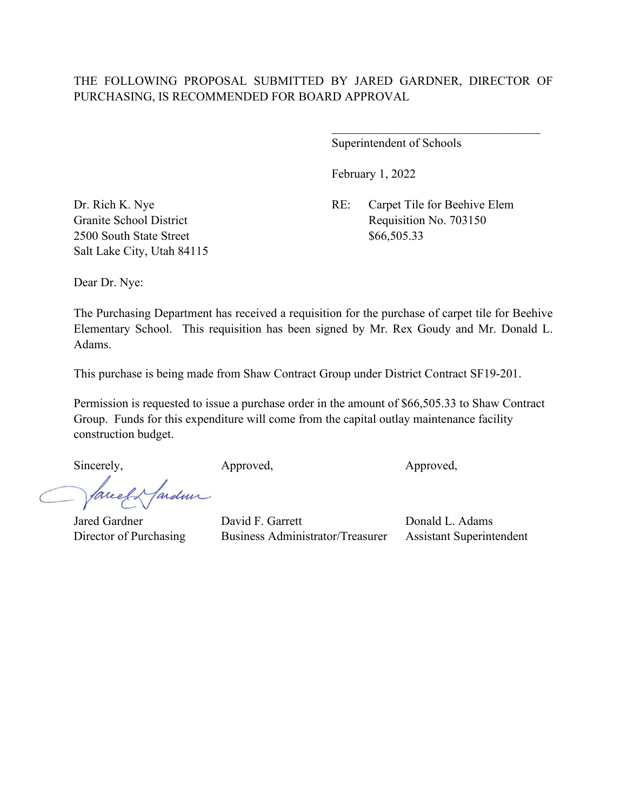February 1, 2022

Dr. Rich K. Nye RE: Carpet Tile for Beehive Elem Granite School District Requisition No. 703150

 $\overline{\phantom{a}}$ 

2500 South State Street \$66,505.33 Salt Lake City, Utah 84115

Dear Dr. Nye:

The Purchasing Department has received a requisition for the purchase of carpet tile for Beehive Elementary School. This requisition has been signed by Mr. Rex Goudy and Mr. Donald L. Adams.

This purchase is being made from Shaw Contract Group under District Contract SF19-201.

Permission is requested to issue a purchase order in the amount of \$66,505.33 to Shaw Contract Group. Funds for this expenditure will come from the capital outlay maintenance facility construction budget.

Jarden Creek

Sincerely, Approved, Approved, Approved,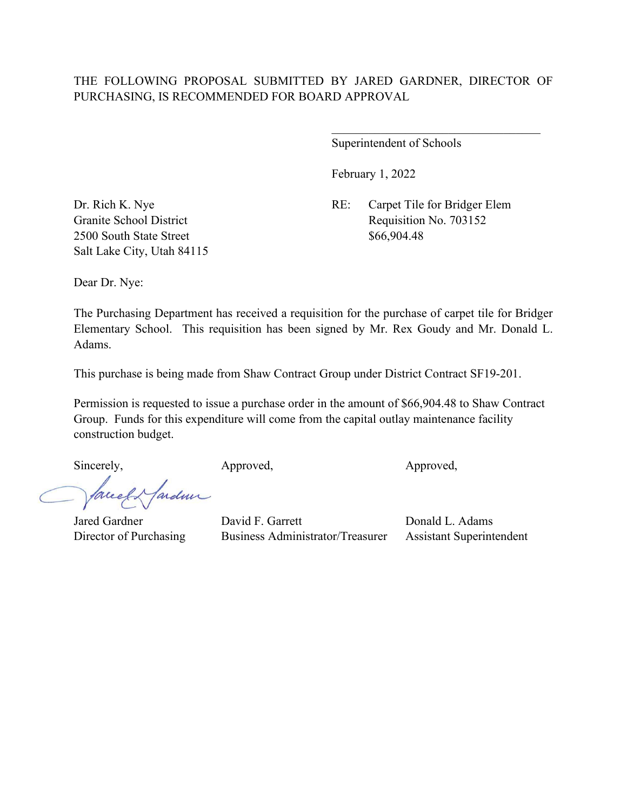February 1, 2022

Dr. Rich K. Nye RE: Carpet Tile for Bridger Elem Granite School District Requisition No. 703152

 $\overline{\phantom{a}}$ 

2500 South State Street \$66,904.48 Salt Lake City, Utah 84115

Dear Dr. Nye:

The Purchasing Department has received a requisition for the purchase of carpet tile for Bridger Elementary School. This requisition has been signed by Mr. Rex Goudy and Mr. Donald L. Adams.

This purchase is being made from Shaw Contract Group under District Contract SF19-201.

Permission is requested to issue a purchase order in the amount of \$66,904.48 to Shaw Contract Group. Funds for this expenditure will come from the capital outlay maintenance facility construction budget.

Sincerely, Approved, Approved, Approved,

Jarden Correct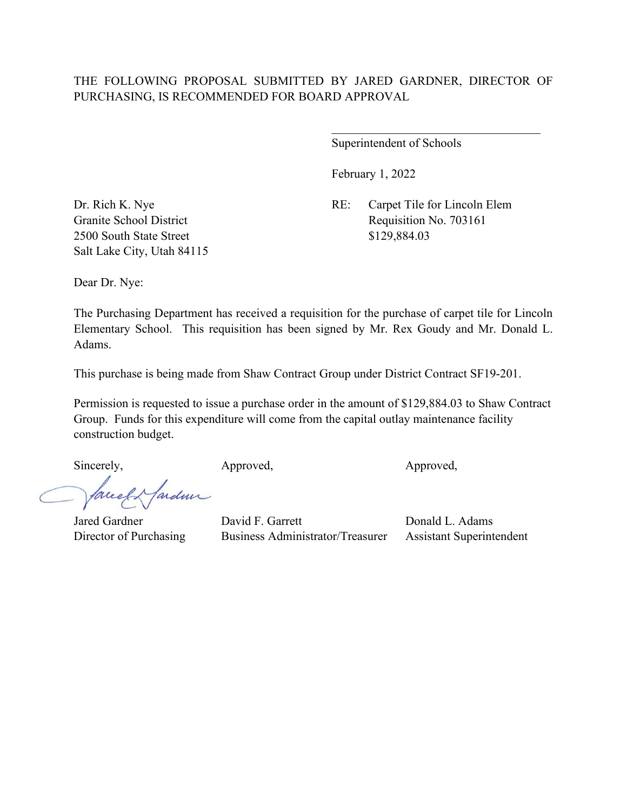February 1, 2022

Dr. Rich K. Nye RE: Carpet Tile for Lincoln Elem Granite School District Requisition No. 703161

 $\overline{\phantom{a}}$ 

2500 South State Street \$129,884.03 Salt Lake City, Utah 84115

Dear Dr. Nye:

The Purchasing Department has received a requisition for the purchase of carpet tile for Lincoln Elementary School. This requisition has been signed by Mr. Rex Goudy and Mr. Donald L. Adams.

This purchase is being made from Shaw Contract Group under District Contract SF19-201.

Permission is requested to issue a purchase order in the amount of \$129,884.03 to Shaw Contract Group. Funds for this expenditure will come from the capital outlay maintenance facility construction budget.

Jarden Correct

Sincerely, Approved, Approved, Approved,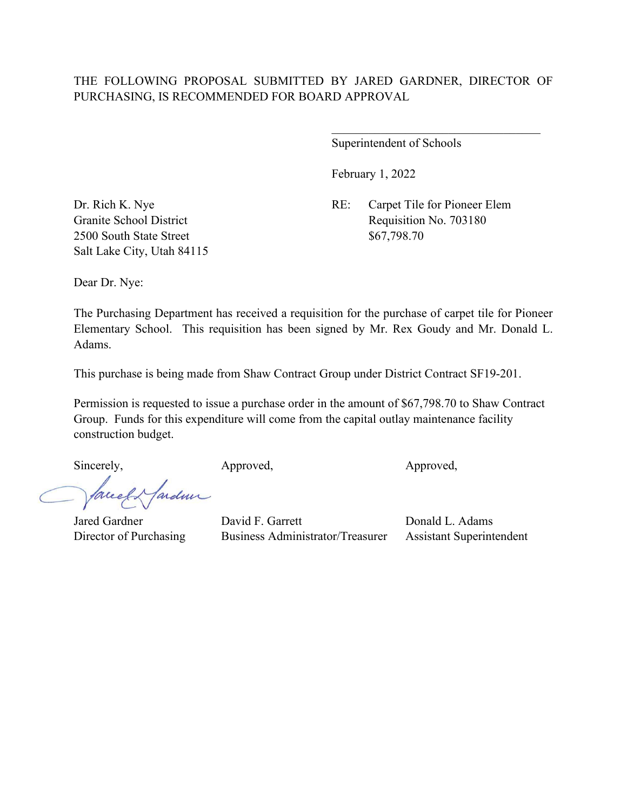February 1, 2022

Dr. Rich K. Nye RE: Carpet Tile for Pioneer Elem Granite School District Requisition No. 703180

 $\overline{\phantom{a}}$ 

2500 South State Street \$67,798.70 Salt Lake City, Utah 84115

Dear Dr. Nye:

The Purchasing Department has received a requisition for the purchase of carpet tile for Pioneer Elementary School. This requisition has been signed by Mr. Rex Goudy and Mr. Donald L. Adams.

This purchase is being made from Shaw Contract Group under District Contract SF19-201.

Permission is requested to issue a purchase order in the amount of \$67,798.70 to Shaw Contract Group. Funds for this expenditure will come from the capital outlay maintenance facility construction budget.

Jarden Creek

Sincerely, Approved, Approved, Approved,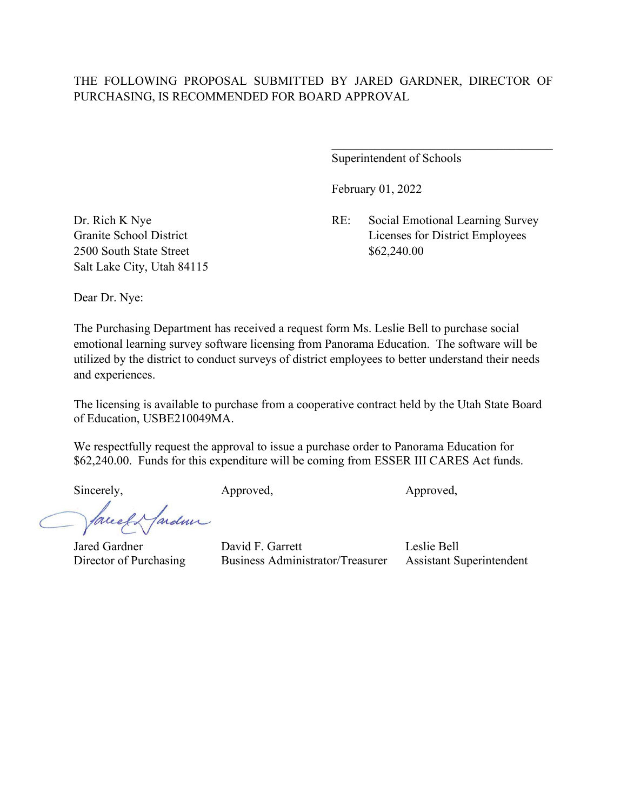## THE FOLLOWING PROPOSAL SUBMITTED BY JARED GARDNER, DIRECTOR OF PURCHASING, IS RECOMMENDED FOR BOARD APPROVAL

Superintendent of Schools

February 01, 2022

Dr. Rich K Nye RE: Social Emotional Learning Survey Granite School District Licenses for District Employees

2500 South State Street \$62,240.00 Salt Lake City, Utah 84115

Dear Dr. Nye:

The Purchasing Department has received a request form Ms. Leslie Bell to purchase social emotional learning survey software licensing from Panorama Education. The software will be utilized by the district to conduct surveys of district employees to better understand their needs and experiences.

The licensing is available to purchase from a cooperative contract held by the Utah State Board of Education, USBE210049MA.

We respectfully request the approval to issue a purchase order to Panorama Education for \$62,240.00. Funds for this expenditure will be coming from ESSER III CARES Act funds.

Sincerely, Approved, Approved, Approved,

ardmi